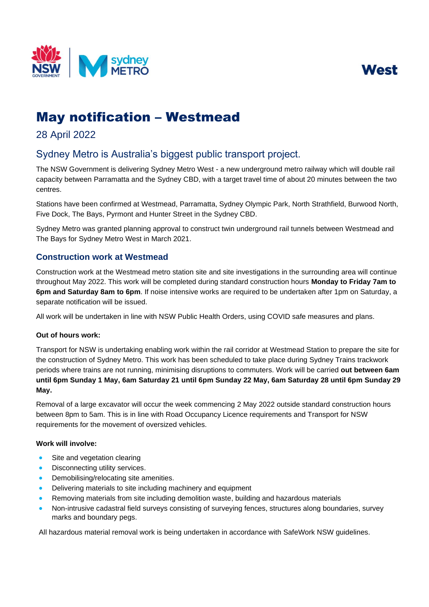



# May notification – Westmead

### 28 April 2022

## Sydney Metro is Australia's biggest public transport project.

The NSW Government is delivering Sydney Metro West - a new underground metro railway which will double rail capacity between Parramatta and the Sydney CBD, with a target travel time of about 20 minutes between the two centres.

Stations have been confirmed at Westmead, Parramatta, Sydney Olympic Park, North Strathfield, Burwood North, Five Dock, The Bays, Pyrmont and Hunter Street in the Sydney CBD.

Sydney Metro was granted planning approval to construct twin underground rail tunnels between Westmead and The Bays for Sydney Metro West in March 2021.

### **Construction work at Westmead**

Construction work at the Westmead metro station site and site investigations in the surrounding area will continue throughout May 2022. This work will be completed during standard construction hours **Monday to Friday 7am to 6pm and Saturday 8am to 6pm**. If noise intensive works are required to be undertaken after 1pm on Saturday, a separate notification will be issued.

All work will be undertaken in line with NSW Public Health Orders, using COVID safe measures and plans.

#### **Out of hours work:**

Transport for NSW is undertaking enabling work within the rail corridor at Westmead Station to prepare the site for the construction of Sydney Metro. This work has been scheduled to take place during Sydney Trains trackwork periods where trains are not running, minimising disruptions to commuters. Work will be carried **out between 6am until 6pm Sunday 1 May, 6am Saturday 21 until 6pm Sunday 22 May, 6am Saturday 28 until 6pm Sunday 29 May.**

Removal of a large excavator will occur the week commencing 2 May 2022 outside standard construction hours between 8pm to 5am. This is in line with Road Occupancy Licence requirements and Transport for NSW requirements for the movement of oversized vehicles.

#### **Work will involve:**

- Site and vegetation clearing
- Disconnecting utility services.
- Demobilising/relocating site amenities.
- Delivering materials to site including machinery and equipment
- Removing materials from site including demolition waste, building and hazardous materials
- Non-intrusive cadastral field surveys consisting of surveying fences, structures along boundaries, survey marks and boundary pegs.

All hazardous material removal work is being undertaken in accordance with SafeWork NSW guidelines.